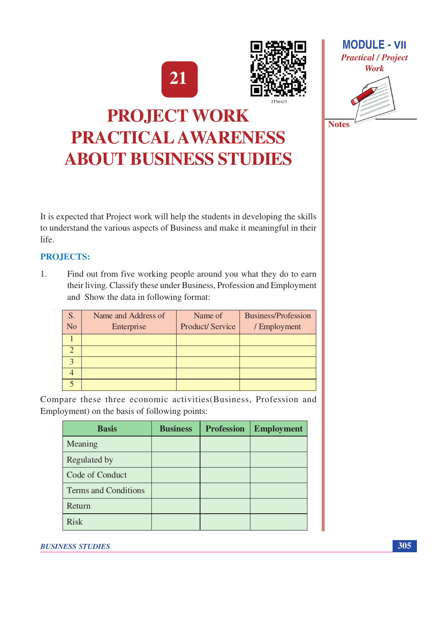



# **MODULE - VII Practical / Project Work Notes**

## **PROJECT WORK** PRACTICAL AWARENESS **ABOUT BUSINESS STUDIES**

It is expected that Project work will help the students in developing the skills to understand the various aspects of Business and make it meaningful in their life.

#### **PROJECTS:**

 $1.$ Find out from five working people around you what they do to earn their living. Classify these under Business, Profession and Employment and Show the data in following format:

| S.<br>N <sub>o</sub> | Name and Address of<br>Enterprise | Name of<br><b>Product/Service</b> | <b>Business/Profession</b><br>/ Employment |
|----------------------|-----------------------------------|-----------------------------------|--------------------------------------------|
|                      |                                   |                                   |                                            |
|                      |                                   |                                   |                                            |
|                      |                                   |                                   |                                            |
|                      |                                   |                                   |                                            |
|                      |                                   |                                   |                                            |

Compare these three economic activities (Business, Profession and Employment) on the basis of following points:

| <b>Basis</b>         | <b>Business</b> | <b>Profession</b> | <b>Employment</b> |
|----------------------|-----------------|-------------------|-------------------|
| Meaning              |                 |                   |                   |
| Regulated by         |                 |                   |                   |
| Code of Conduct      |                 |                   |                   |
| Terms and Conditions |                 |                   |                   |
| Return               |                 |                   |                   |
| <b>Risk</b>          |                 |                   |                   |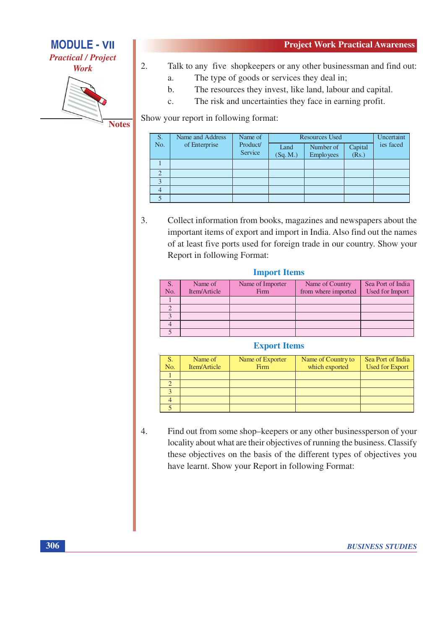

**Work** 



**Notes** 

- Talk to any five shopkeepers or any other businessman and find out:  $\overline{2}$ .
	- The type of goods or services they deal in; a.
	- The resources they invest, like land, labour and capital.  $<sub>b</sub>$ .</sub>
	- The risk and uncertainties they face in earning profit.  $\mathbf{c}$ .

Show your report in following format:

| S.           | Name and Address | Name of             |                  | <b>Resources Used</b>         |                  | Uncertaint |
|--------------|------------------|---------------------|------------------|-------------------------------|------------------|------------|
| No.          | of Enterprise    | Product/<br>Service | Land<br>(Sq. M.) | Number of<br><b>Employees</b> | Capital<br>(Rs.) | ies faced  |
|              |                  |                     |                  |                               |                  |            |
| $\bigcap$    |                  |                     |                  |                               |                  |            |
| $\mathbf{c}$ |                  |                     |                  |                               |                  |            |
|              |                  |                     |                  |                               |                  |            |
|              |                  |                     |                  |                               |                  |            |

 $3.$ Collect information from books, magazines and newspapers about the important items of export and import in India. Also find out the names of at least five ports used for foreign trade in our country. Show your Report in following Format:

#### **Import Items**

| S.<br>No. | Name of<br>Item/Article | Name of Importer<br>Firm | Name of Country<br>from where imported | Sea Port of India<br><b>Used for Import</b> |
|-----------|-------------------------|--------------------------|----------------------------------------|---------------------------------------------|
|           |                         |                          |                                        |                                             |
|           |                         |                          |                                        |                                             |
|           |                         |                          |                                        |                                             |
|           |                         |                          |                                        |                                             |
|           |                         |                          |                                        |                                             |

#### **Export Items**

| No. | Name of<br>Item/Article | Name of Exporter<br>Firm | Name of Country to<br>which exported | Sea Port of India<br><b>Used for Export</b> |
|-----|-------------------------|--------------------------|--------------------------------------|---------------------------------------------|
|     |                         |                          |                                      |                                             |
|     |                         |                          |                                      |                                             |
|     |                         |                          |                                      |                                             |
|     |                         |                          |                                      |                                             |
|     |                         |                          |                                      |                                             |

 $\overline{4}$ . Find out from some shop-keepers or any other businessperson of your locality about what are their objectives of running the business. Classify these objectives on the basis of the different types of objectives you have learnt. Show your Report in following Format: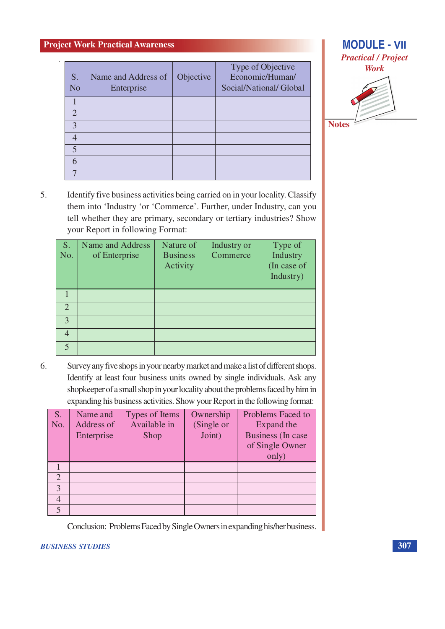| S.<br>N <sub>o</sub> | Name and Address of<br>Enterprise | Objective | Type of Objective<br>Economic/Human/<br>Social/National/ Global |
|----------------------|-----------------------------------|-----------|-----------------------------------------------------------------|
|                      |                                   |           |                                                                 |
| $\overline{2}$       |                                   |           |                                                                 |
| 3                    |                                   |           |                                                                 |
|                      |                                   |           |                                                                 |
| 5                    |                                   |           |                                                                 |
| 6                    |                                   |           |                                                                 |
|                      |                                   |           |                                                                 |



**Notes** 

5. Identify five business activities being carried on in your locality. Classify them into 'Industry 'or 'Commerce'. Further, under Industry, can you tell whether they are primary, secondary or tertiary industries? Show your Report in following Format:

| S.<br>No.                   | Name and Address<br>of Enterprise | Nature of<br><b>Business</b><br>Activity | Industry or<br>Commerce | Type of<br>Industry<br>(In case of<br>Industry) |
|-----------------------------|-----------------------------------|------------------------------------------|-------------------------|-------------------------------------------------|
|                             |                                   |                                          |                         |                                                 |
| $\mathcal{D}_{\mathcal{A}}$ |                                   |                                          |                         |                                                 |
| $\mathcal{R}$               |                                   |                                          |                         |                                                 |
|                             |                                   |                                          |                         |                                                 |
|                             |                                   |                                          |                         |                                                 |

6. Survey any five shops in your nearby market and make a list of different shops. Identify at least four business units owned by single individuals. Ask any shopkeeper of a small shop in your locality about the problems faced by him in expanding his business activities. Show your Report in the following format:

| S.                          | Name and   | Types of Items | Ownership  | Problems Faced to |
|-----------------------------|------------|----------------|------------|-------------------|
| No.                         | Address of | Available in   | (Single or | Expand the        |
|                             | Enterprise | Shop           | Joint)     | Business (In case |
|                             |            |                |            | of Single Owner   |
|                             |            |                |            | only)             |
|                             |            |                |            |                   |
| $\mathcal{D}_{\mathcal{A}}$ |            |                |            |                   |
| $\mathcal{E}$               |            |                |            |                   |
|                             |            |                |            |                   |
|                             |            |                |            |                   |

Conclusion: Problems Faced by Single Owners in expanding his/her business.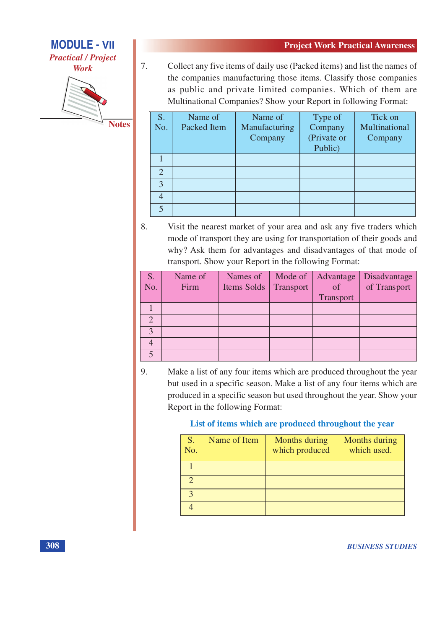**MODULE - VII** 

**Practical / Project Work** 



**Notes** 

 $\overline{7}$ . Collect any five items of daily use (Packed items) and list the names of the companies manufacturing those items. Classify those companies as public and private limited companies. Which of them are Multinational Companies? Show your Report in following Format:

| S.<br>No.      | Name of<br><b>Packed Item</b> | Name of<br>Manufacturing<br>Company | Type of<br>Company<br>(Private or<br>Public) | Tick on<br>Multinational<br>Company |
|----------------|-------------------------------|-------------------------------------|----------------------------------------------|-------------------------------------|
|                |                               |                                     |                                              |                                     |
| $\overline{2}$ |                               |                                     |                                              |                                     |
| 3              |                               |                                     |                                              |                                     |
| 4              |                               |                                     |                                              |                                     |
|                |                               |                                     |                                              |                                     |

8. Visit the nearest market of your area and ask any five traders which mode of transport they are using for transportation of their goods and why? Ask them for advantages and disadvantages of that mode of transport. Show your Report in the following Format:

| S.            | Name of | Names of    |           | Mode of Advantage | Disadvantage |
|---------------|---------|-------------|-----------|-------------------|--------------|
| No.           | Firm    | Items Solds | Transport | of                | of Transport |
|               |         |             |           | Transport         |              |
|               |         |             |           |                   |              |
| $\mathcal{D}$ |         |             |           |                   |              |
| $\mathbf{z}$  |         |             |           |                   |              |
|               |         |             |           |                   |              |
|               |         |             |           |                   |              |

9. Make a list of any four items which are produced throughout the year but used in a specific season. Make a list of any four items which are produced in a specific season but used throughout the year. Show your Report in the following Format:

#### List of items which are produced throughout the year

| S.<br>No. | Name of Item | Months during<br>which produced | Months during<br>which used. |
|-----------|--------------|---------------------------------|------------------------------|
|           |              |                                 |                              |
|           |              |                                 |                              |
|           |              |                                 |                              |
|           |              |                                 |                              |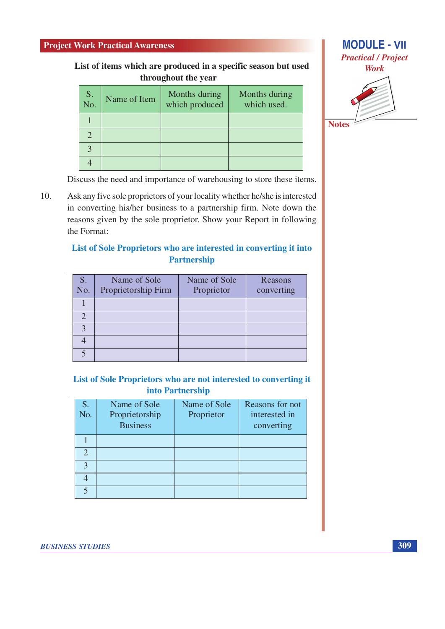List of items which are produced in a specific season but used throughout the year

| S.<br>No. | Name of Item | Months during<br>which produced | Months during<br>which used. |
|-----------|--------------|---------------------------------|------------------------------|
|           |              |                                 |                              |
|           |              |                                 |                              |
|           |              |                                 |                              |
|           |              |                                 |                              |



**Notes** 

Discuss the need and importance of warehousing to store these items.

10. Ask any five sole proprietors of your locality whether he/she is interested in converting his/her business to a partnership firm. Note down the reasons given by the sole proprietor. Show your Report in following the Format:

#### List of Sole Proprietors who are interested in converting it into **Partnership**

| S.<br>No.             | Name of Sole<br>Proprietorship Firm | Name of Sole<br>Proprietor | Reasons<br>converting |
|-----------------------|-------------------------------------|----------------------------|-----------------------|
|                       |                                     |                            |                       |
| $\mathcal{D}_{\cdot}$ |                                     |                            |                       |
|                       |                                     |                            |                       |
|                       |                                     |                            |                       |
|                       |                                     |                            |                       |

#### List of Sole Proprietors who are not interested to converting it into Partnership

| S.<br>No.                | Name of Sole<br>Proprietorship<br><b>Business</b> | Name of Sole<br>Proprietor | Reasons for not<br>interested in<br>converting |
|--------------------------|---------------------------------------------------|----------------------------|------------------------------------------------|
|                          |                                                   |                            |                                                |
| $\overline{2}$           |                                                   |                            |                                                |
| $\mathbf{R}$             |                                                   |                            |                                                |
|                          |                                                   |                            |                                                |
| $\overline{\mathcal{L}}$ |                                                   |                            |                                                |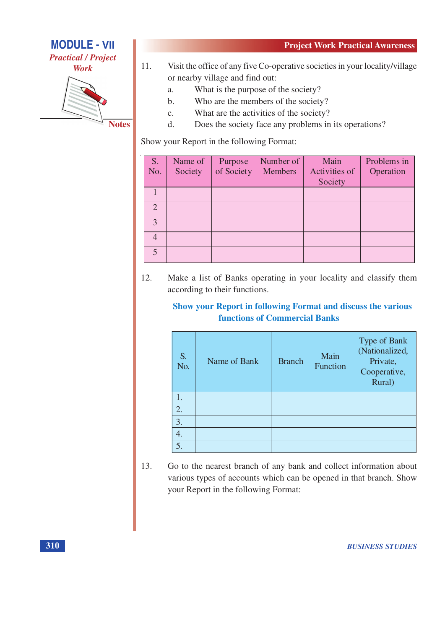

- $11.$ Visit the office of any five Co-operative societies in your locality/village or nearby village and find out:
	- What is the purpose of the society?  $\overline{a}$ .
	- $<sub>b</sub>$ </sub> Who are the members of the society?
	- $\mathbf{c}$ . What are the activities of the society?
	- Does the society face any problems in its operations?  $\mathbf{d}$ .

Show your Report in the following Format:

| S <sub>1</sub>              | Name of | Purpose    | Number of      | Main          | Problems in |
|-----------------------------|---------|------------|----------------|---------------|-------------|
| No.                         | Society | of Society | <b>Members</b> | Activities of | Operation   |
|                             |         |            |                | Society       |             |
|                             |         |            |                |               |             |
| $\mathcal{D}_{\mathcal{A}}$ |         |            |                |               |             |
| $\mathcal{R}$               |         |            |                |               |             |
|                             |         |            |                |               |             |
| $\leq$                      |         |            |                |               |             |

12. Make a list of Banks operating in your locality and classify them according to their functions.

#### **Show your Report in following Format and discuss the various functions of Commercial Banks**

| S.<br>No. | Name of Bank | <b>Branch</b> | Main<br>Function | Type of Bank<br>(Nationalized,<br>Private,<br>Cooperative,<br>Rural) |
|-----------|--------------|---------------|------------------|----------------------------------------------------------------------|
| 1.        |              |               |                  |                                                                      |
| 2.        |              |               |                  |                                                                      |
| 3.        |              |               |                  |                                                                      |
| 4.        |              |               |                  |                                                                      |
| 5.        |              |               |                  |                                                                      |

13. Go to the nearest branch of any bank and collect information about various types of accounts which can be opened in that branch. Show your Report in the following Format: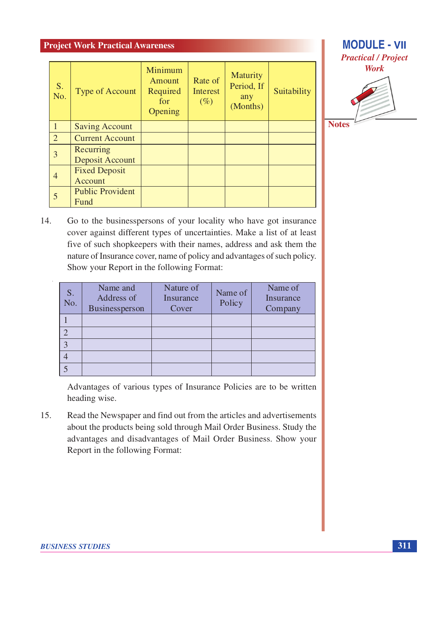| S.<br>No.      | Type of Account                 | Minimum<br>Amount<br>Required<br>for<br>Opening | Rate of<br>Interest<br>$(\%)$ | <b>Maturity</b><br>Period, If<br>any<br>(Months) | Suitability |
|----------------|---------------------------------|-------------------------------------------------|-------------------------------|--------------------------------------------------|-------------|
|                | <b>Saving Account</b>           |                                                 |                               |                                                  |             |
| 2              | <b>Current Account</b>          |                                                 |                               |                                                  |             |
| 3              | Recurring<br>Deposit Account    |                                                 |                               |                                                  |             |
| $\overline{4}$ | <b>Fixed Deposit</b><br>Account |                                                 |                               |                                                  |             |
|                | <b>Public Provident</b><br>Fund |                                                 |                               |                                                  |             |



14. Go to the businesspersons of your locality who have got insurance cover against different types of uncertainties. Make a list of at least five of such shopkeepers with their names, address and ask them the nature of Insurance cover, name of policy and advantages of such policy. Show your Report in the following Format:

| S.<br>No. | Name and<br>Address of<br>Businessperson | Nature of<br>Insurance<br>Cover | Name of<br>Policy | Name of<br>Insurance<br>Company |
|-----------|------------------------------------------|---------------------------------|-------------------|---------------------------------|
|           |                                          |                                 |                   |                                 |
|           |                                          |                                 |                   |                                 |
|           |                                          |                                 |                   |                                 |
|           |                                          |                                 |                   |                                 |
|           |                                          |                                 |                   |                                 |

Advantages of various types of Insurance Policies are to be written heading wise.

15. Read the Newspaper and find out from the articles and advertisements about the products being sold through Mail Order Business. Study the advantages and disadvantages of Mail Order Business. Show your Report in the following Format: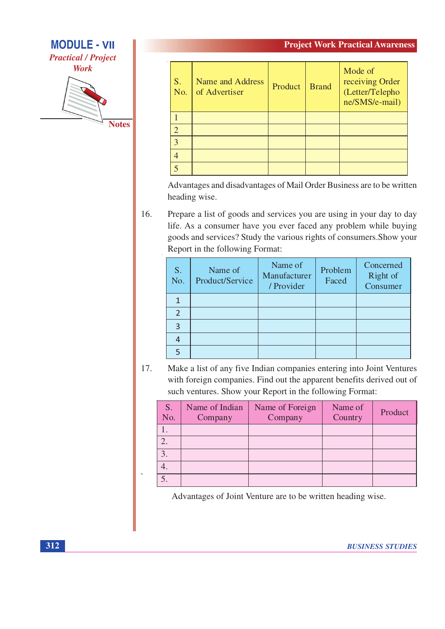#### **MODULE - VII**

**Practical / Project** 

**Work** 



| S.<br>No.      | Name and Address<br>of Advertiser | Product | <b>Brand</b> | Mode of<br>receiving Order<br>(Letter/Telepho<br>ne/SMS/e-mail) |
|----------------|-----------------------------------|---------|--------------|-----------------------------------------------------------------|
|                |                                   |         |              |                                                                 |
| $\overline{2}$ |                                   |         |              |                                                                 |
| $\overline{3}$ |                                   |         |              |                                                                 |
| $\overline{4}$ |                                   |         |              |                                                                 |
|                |                                   |         |              |                                                                 |

Advantages and disadvantages of Mail Order Business are to be written heading wise.

16. Prepare a list of goods and services you are using in your day to day life. As a consumer have you ever faced any problem while buying goods and services? Study the various rights of consumers. Show your Report in the following Format:

| S.<br>No. | Name of<br>Product/Service | Name of<br>Manufacturer<br>/ Provider | Problem<br>Faced | Concerned<br>Right of<br>Consumer |
|-----------|----------------------------|---------------------------------------|------------------|-----------------------------------|
|           |                            |                                       |                  |                                   |
|           |                            |                                       |                  |                                   |
|           |                            |                                       |                  |                                   |
|           |                            |                                       |                  |                                   |
|           |                            |                                       |                  |                                   |

17. Make a list of any five Indian companies entering into Joint Ventures with foreign companies. Find out the apparent benefits derived out of such ventures. Show your Report in the following Format:

| S.<br>No.        | Name of Indian<br>Company | Name of Foreign<br>Company | Name of<br>Country | Product |
|------------------|---------------------------|----------------------------|--------------------|---------|
|                  |                           |                            |                    |         |
| $\overline{2}$ . |                           |                            |                    |         |
|                  |                           |                            |                    |         |
|                  |                           |                            |                    |         |
|                  |                           |                            |                    |         |

Advantages of Joint Venture are to be written heading wise.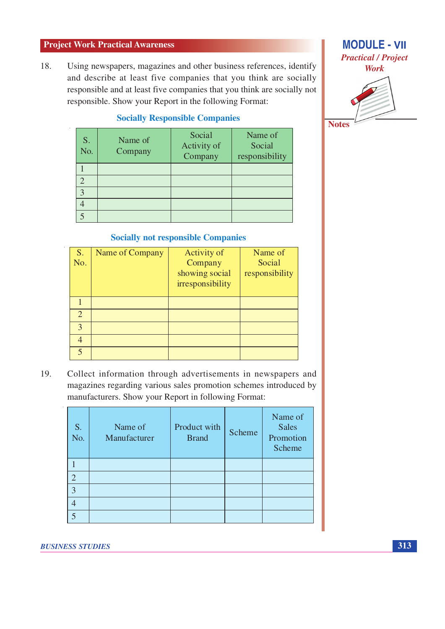Using newspapers, magazines and other business references, identify 18. and describe at least five companies that you think are socially responsible and at least five companies that you think are socially not responsible. Show your Report in the following Format:

#### **Socially Responsible Companies**

| S.<br>No. | Name of<br>Company | Social<br>Activity of<br>Company | Name of<br>Social<br>responsibility |
|-----------|--------------------|----------------------------------|-------------------------------------|
|           |                    |                                  |                                     |
|           |                    |                                  |                                     |
|           |                    |                                  |                                     |
|           |                    |                                  |                                     |
|           |                    |                                  |                                     |

### **MODULE - VII Practical / Project Work**



**Socially not responsible Companies** 

| S.<br>No. | Name of Company | Activity of<br>Company<br>showing social<br>irresponsibility | Name of<br>Social<br>responsibility |
|-----------|-----------------|--------------------------------------------------------------|-------------------------------------|
|           |                 |                                                              |                                     |
| 2         |                 |                                                              |                                     |
| 3         |                 |                                                              |                                     |
|           |                 |                                                              |                                     |
| 5         |                 |                                                              |                                     |

19. Collect information through advertisements in newspapers and magazines regarding various sales promotion schemes introduced by manufacturers. Show your Report in following Format:

| S.<br>No.      | Name of<br>Manufacturer | Product with<br><b>Brand</b> | Scheme | Name of<br><b>Sales</b><br>Promotion<br>Scheme |
|----------------|-------------------------|------------------------------|--------|------------------------------------------------|
|                |                         |                              |        |                                                |
| $\overline{2}$ |                         |                              |        |                                                |
| 3              |                         |                              |        |                                                |
|                |                         |                              |        |                                                |
|                |                         |                              |        |                                                |